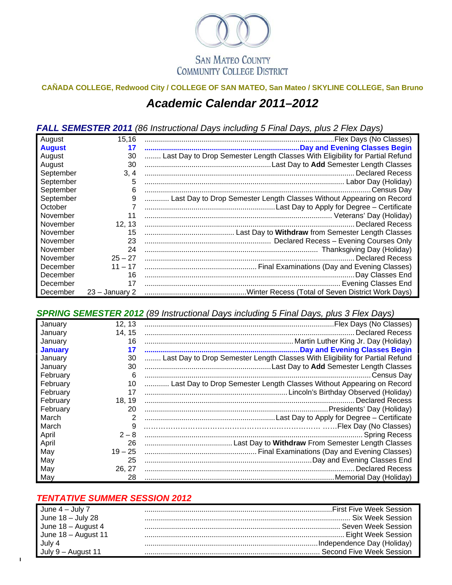

## **CAÑADA COLLEGE, Redwood City / COLLEGE OF SAN MATEO, San Mateo / SKYLINE COLLEGE, San Bruno**  *Academic Calendar 2011–2012*

*FALL SEMESTER 2011 (86 Instructional Days including 5 Final Days, plus 2 Flex Days)*

| August        | 15,16            |                                                                              |
|---------------|------------------|------------------------------------------------------------------------------|
| <b>August</b> | 17               |                                                                              |
| August        | 30               | Last Day to Drop Semester Length Classes With Eligibility for Partial Refund |
| August        | 30               |                                                                              |
| September     | 3, 4             |                                                                              |
| September     | 5                |                                                                              |
| September     | 6                |                                                                              |
| September     | 9                | Last Day to Drop Semester Length Classes Without Appearing on Record         |
| October       |                  |                                                                              |
| November      | 11               |                                                                              |
| November      | 12, 13           |                                                                              |
| November      | 15               |                                                                              |
| November      | 23               |                                                                              |
| November      | 24               |                                                                              |
| November      | $25 - 27$        | <b>Declared Recess</b>                                                       |
| December      | $11 - 17$        |                                                                              |
| December      | 16               | Day Classes End                                                              |
| December      | 17               |                                                                              |
| December      | $23 -$ January 2 |                                                                              |

## *SPRING SEMESTER 2012 (89 Instructional Days including 5 Final Days, plus 3 Flex Days)*

| January        | 12, 13    |                                                                              |
|----------------|-----------|------------------------------------------------------------------------------|
| January        | 14, 15    | Declared Recess                                                              |
| January        | 16        |                                                                              |
| <b>January</b> | 17        |                                                                              |
| January        | 30        | Last Day to Drop Semester Length Classes With Eligibility for Partial Refund |
| January        | 30        |                                                                              |
| February       | 6         |                                                                              |
| February       | 10        | Last Day to Drop Semester Length Classes Without Appearing on Record         |
| February       | 17        |                                                                              |
| February       | 18, 19    |                                                                              |
| February       | 20        |                                                                              |
| March          | 2         |                                                                              |
| March          | 9         |                                                                              |
| April          | $2 - 8$   |                                                                              |
| April          | 26        |                                                                              |
| May            | $19 - 25$ |                                                                              |
| May            | 25        |                                                                              |
| May            | 26, 27    |                                                                              |
| May            | 28        |                                                                              |

## *TENTATIVE SUMMER SESSION 2012*

 $\mathbf{I}$ 

| June $4 -$ July 7   |  |
|---------------------|--|
| June 18 - July 28   |  |
| June 18 - August 4  |  |
| June 18 - August 11 |  |
| July 4              |  |
| July 9 – August 11  |  |